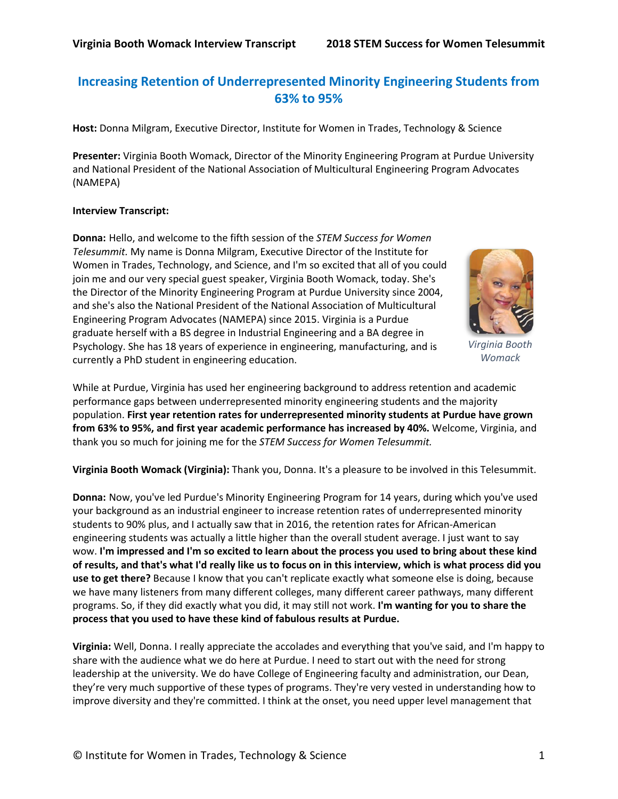# **Increasing Retention of Underrepresented Minority Engineering Students from 63% to 95%**

**Host:** Donna Milgram, Executive Director, Institute for Women in Trades, Technology & Science

**Presenter:** Virginia Booth Womack, Director of the Minority Engineering Program at Purdue University and National President of the National Association of Multicultural Engineering Program Advocates (NAMEPA)

#### **Interview Transcript:**

**Donna:** Hello, and welcome to the fifth session of the *STEM Success for Women Telesummit.* My name is Donna Milgram, Executive Director of the Institute for Women in Trades, Technology, and Science, and I'm so excited that all of you could join me and our very special guest speaker, Virginia Booth Womack, today. She's the Director of the Minority Engineering Program at Purdue University since 2004, and she's also the National President of the National Association of Multicultural Engineering Program Advocates (NAMEPA) since 2015. Virginia is a Purdue graduate herself with a BS degree in Industrial Engineering and a BA degree in Psychology. She has 18 years of experience in engineering, manufacturing, and is currently a PhD student in engineering education.



*Virginia Booth Womack*

While at Purdue, Virginia has used her engineering background to address retention and academic performance gaps between underrepresented minority engineering students and the majority population. **First year retention rates for underrepresented minority students at Purdue have grown from 63% to 95%, and first year academic performance has increased by 40%.** Welcome, Virginia, and thank you so much for joining me for the *STEM Success for Women Telesummit.*

**Virginia Booth Womack (Virginia):** Thank you, Donna. It's a pleasure to be involved in this Telesummit.

**Donna:** Now, you've led Purdue's Minority Engineering Program for 14 years, during which you've used your background as an industrial engineer to increase retention rates of underrepresented minority students to 90% plus, and I actually saw that in 2016, the retention rates for African-American engineering students was actually a little higher than the overall student average. I just want to say wow. **I'm impressed and I'm so excited to learn about the process you used to bring about these kind of results, and that's what I'd really like us to focus on in this interview, which is what process did you use to get there?** Because I know that you can't replicate exactly what someone else is doing, because we have many listeners from many different colleges, many different career pathways, many different programs. So, if they did exactly what you did, it may still not work. **I'm wanting for you to share the process that you used to have these kind of fabulous results at Purdue.**

**Virginia:** Well, Donna. I really appreciate the accolades and everything that you've said, and I'm happy to share with the audience what we do here at Purdue. I need to start out with the need for strong leadership at the university. We do have College of Engineering faculty and administration, our Dean, they're very much supportive of these types of programs. They're very vested in understanding how to improve diversity and they're committed. I think at the onset, you need upper level management that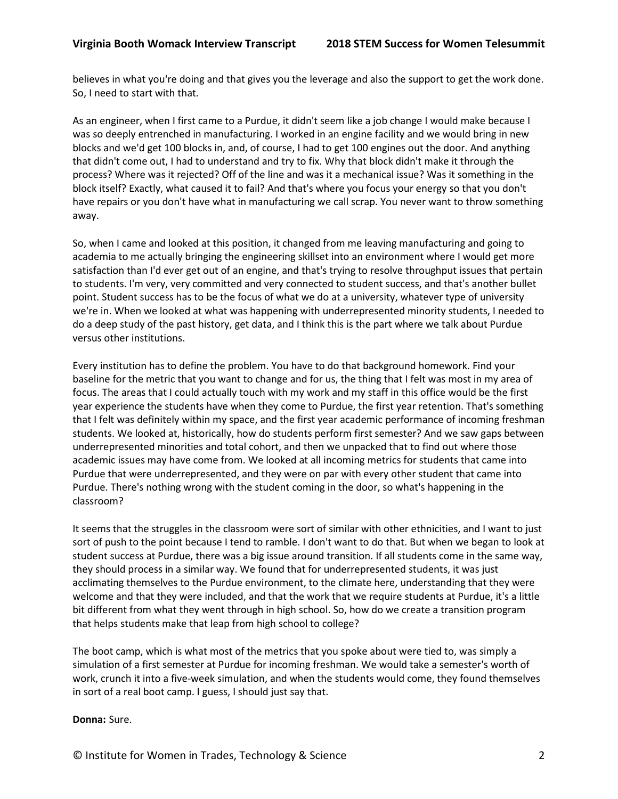believes in what you're doing and that gives you the leverage and also the support to get the work done. So, I need to start with that.

As an engineer, when I first came to a Purdue, it didn't seem like a job change I would make because I was so deeply entrenched in manufacturing. I worked in an engine facility and we would bring in new blocks and we'd get 100 blocks in, and, of course, I had to get 100 engines out the door. And anything that didn't come out, I had to understand and try to fix. Why that block didn't make it through the process? Where was it rejected? Off of the line and was it a mechanical issue? Was it something in the block itself? Exactly, what caused it to fail? And that's where you focus your energy so that you don't have repairs or you don't have what in manufacturing we call scrap. You never want to throw something away.

So, when I came and looked at this position, it changed from me leaving manufacturing and going to academia to me actually bringing the engineering skillset into an environment where I would get more satisfaction than I'd ever get out of an engine, and that's trying to resolve throughput issues that pertain to students. I'm very, very committed and very connected to student success, and that's another bullet point. Student success has to be the focus of what we do at a university, whatever type of university we're in. When we looked at what was happening with underrepresented minority students, I needed to do a deep study of the past history, get data, and I think this is the part where we talk about Purdue versus other institutions.

Every institution has to define the problem. You have to do that background homework. Find your baseline for the metric that you want to change and for us, the thing that I felt was most in my area of focus. The areas that I could actually touch with my work and my staff in this office would be the first year experience the students have when they come to Purdue, the first year retention. That's something that I felt was definitely within my space, and the first year academic performance of incoming freshman students. We looked at, historically, how do students perform first semester? And we saw gaps between underrepresented minorities and total cohort, and then we unpacked that to find out where those academic issues may have come from. We looked at all incoming metrics for students that came into Purdue that were underrepresented, and they were on par with every other student that came into Purdue. There's nothing wrong with the student coming in the door, so what's happening in the classroom?

It seems that the struggles in the classroom were sort of similar with other ethnicities, and I want to just sort of push to the point because I tend to ramble. I don't want to do that. But when we began to look at student success at Purdue, there was a big issue around transition. If all students come in the same way, they should process in a similar way. We found that for underrepresented students, it was just acclimating themselves to the Purdue environment, to the climate here, understanding that they were welcome and that they were included, and that the work that we require students at Purdue, it's a little bit different from what they went through in high school. So, how do we create a transition program that helps students make that leap from high school to college?

The boot camp, which is what most of the metrics that you spoke about were tied to, was simply a simulation of a first semester at Purdue for incoming freshman. We would take a semester's worth of work, crunch it into a five-week simulation, and when the students would come, they found themselves in sort of a real boot camp. I guess, I should just say that.

#### **Donna:** Sure.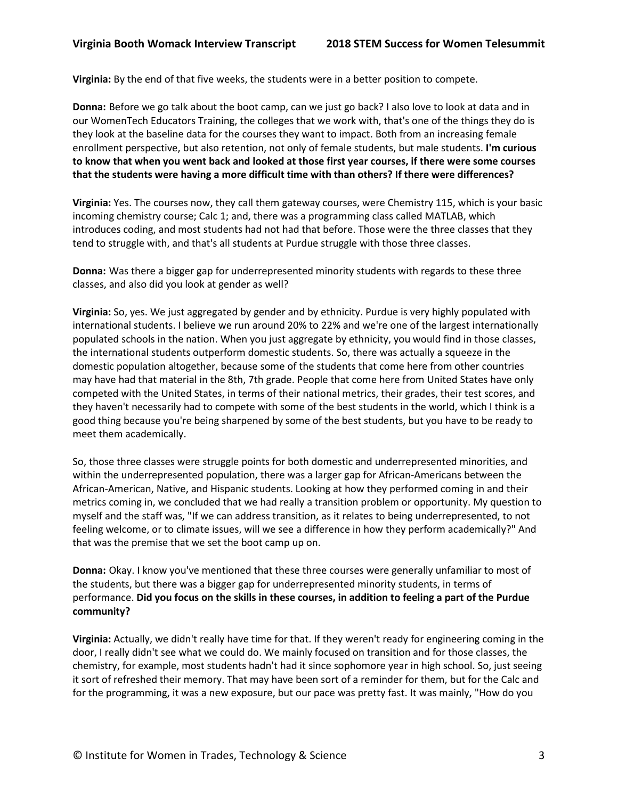**Virginia:** By the end of that five weeks, the students were in a better position to compete.

**Donna:** Before we go talk about the boot camp, can we just go back? I also love to look at data and in our WomenTech Educators Training, the colleges that we work with, that's one of the things they do is they look at the baseline data for the courses they want to impact. Both from an increasing female enrollment perspective, but also retention, not only of female students, but male students. **I'm curious to know that when you went back and looked at those first year courses, if there were some courses that the students were having a more difficult time with than others? If there were differences?**

**Virginia:** Yes. The courses now, they call them gateway courses, were Chemistry 115, which is your basic incoming chemistry course; Calc 1; and, there was a programming class called MATLAB, which introduces coding, and most students had not had that before. Those were the three classes that they tend to struggle with, and that's all students at Purdue struggle with those three classes.

**Donna:** Was there a bigger gap for underrepresented minority students with regards to these three classes, and also did you look at gender as well?

**Virginia:** So, yes. We just aggregated by gender and by ethnicity. Purdue is very highly populated with international students. I believe we run around 20% to 22% and we're one of the largest internationally populated schools in the nation. When you just aggregate by ethnicity, you would find in those classes, the international students outperform domestic students. So, there was actually a squeeze in the domestic population altogether, because some of the students that come here from other countries may have had that material in the 8th, 7th grade. People that come here from United States have only competed with the United States, in terms of their national metrics, their grades, their test scores, and they haven't necessarily had to compete with some of the best students in the world, which I think is a good thing because you're being sharpened by some of the best students, but you have to be ready to meet them academically.

So, those three classes were struggle points for both domestic and underrepresented minorities, and within the underrepresented population, there was a larger gap for African-Americans between the African-American, Native, and Hispanic students. Looking at how they performed coming in and their metrics coming in, we concluded that we had really a transition problem or opportunity. My question to myself and the staff was, "If we can address transition, as it relates to being underrepresented, to not feeling welcome, or to climate issues, will we see a difference in how they perform academically?" And that was the premise that we set the boot camp up on.

**Donna:** Okay. I know you've mentioned that these three courses were generally unfamiliar to most of the students, but there was a bigger gap for underrepresented minority students, in terms of performance. **Did you focus on the skills in these courses, in addition to feeling a part of the Purdue community?**

**Virginia:** Actually, we didn't really have time for that. If they weren't ready for engineering coming in the door, I really didn't see what we could do. We mainly focused on transition and for those classes, the chemistry, for example, most students hadn't had it since sophomore year in high school. So, just seeing it sort of refreshed their memory. That may have been sort of a reminder for them, but for the Calc and for the programming, it was a new exposure, but our pace was pretty fast. It was mainly, "How do you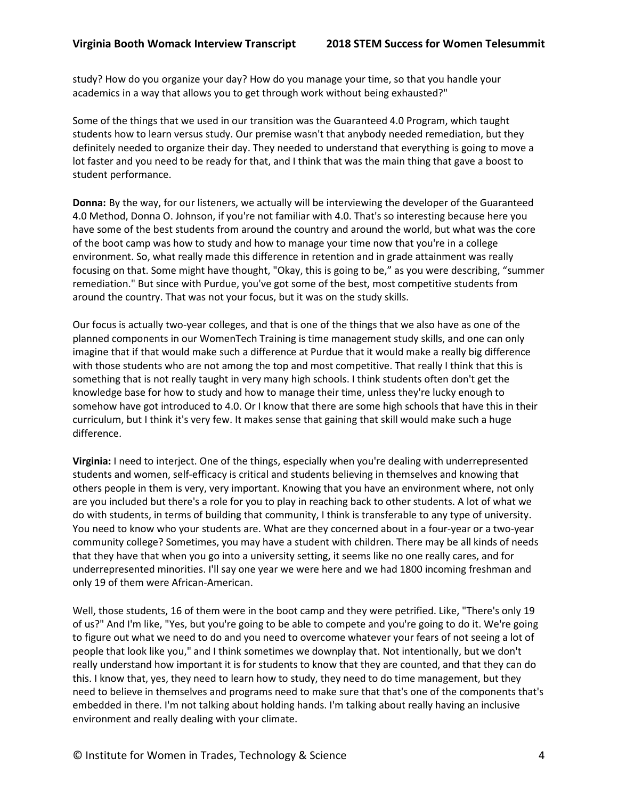study? How do you organize your day? How do you manage your time, so that you handle your academics in a way that allows you to get through work without being exhausted?"

Some of the things that we used in our transition was the Guaranteed 4.0 Program, which taught students how to learn versus study. Our premise wasn't that anybody needed remediation, but they definitely needed to organize their day. They needed to understand that everything is going to move a lot faster and you need to be ready for that, and I think that was the main thing that gave a boost to student performance.

**Donna:** By the way, for our listeners, we actually will be interviewing the developer of the Guaranteed 4.0 Method, Donna O. Johnson, if you're not familiar with 4.0. That's so interesting because here you have some of the best students from around the country and around the world, but what was the core of the boot camp was how to study and how to manage your time now that you're in a college environment. So, what really made this difference in retention and in grade attainment was really focusing on that. Some might have thought, "Okay, this is going to be," as you were describing, "summer remediation." But since with Purdue, you've got some of the best, most competitive students from around the country. That was not your focus, but it was on the study skills.

Our focus is actually two-year colleges, and that is one of the things that we also have as one of the planned components in our WomenTech Training is time management study skills, and one can only imagine that if that would make such a difference at Purdue that it would make a really big difference with those students who are not among the top and most competitive. That really I think that this is something that is not really taught in very many high schools. I think students often don't get the knowledge base for how to study and how to manage their time, unless they're lucky enough to somehow have got introduced to 4.0. Or I know that there are some high schools that have this in their curriculum, but I think it's very few. It makes sense that gaining that skill would make such a huge difference.

**Virginia:** I need to interject. One of the things, especially when you're dealing with underrepresented students and women, self-efficacy is critical and students believing in themselves and knowing that others people in them is very, very important. Knowing that you have an environment where, not only are you included but there's a role for you to play in reaching back to other students. A lot of what we do with students, in terms of building that community, I think is transferable to any type of university. You need to know who your students are. What are they concerned about in a four-year or a two-year community college? Sometimes, you may have a student with children. There may be all kinds of needs that they have that when you go into a university setting, it seems like no one really cares, and for underrepresented minorities. I'll say one year we were here and we had 1800 incoming freshman and only 19 of them were African-American.

Well, those students, 16 of them were in the boot camp and they were petrified. Like, "There's only 19 of us?" And I'm like, "Yes, but you're going to be able to compete and you're going to do it. We're going to figure out what we need to do and you need to overcome whatever your fears of not seeing a lot of people that look like you," and I think sometimes we downplay that. Not intentionally, but we don't really understand how important it is for students to know that they are counted, and that they can do this. I know that, yes, they need to learn how to study, they need to do time management, but they need to believe in themselves and programs need to make sure that that's one of the components that's embedded in there. I'm not talking about holding hands. I'm talking about really having an inclusive environment and really dealing with your climate.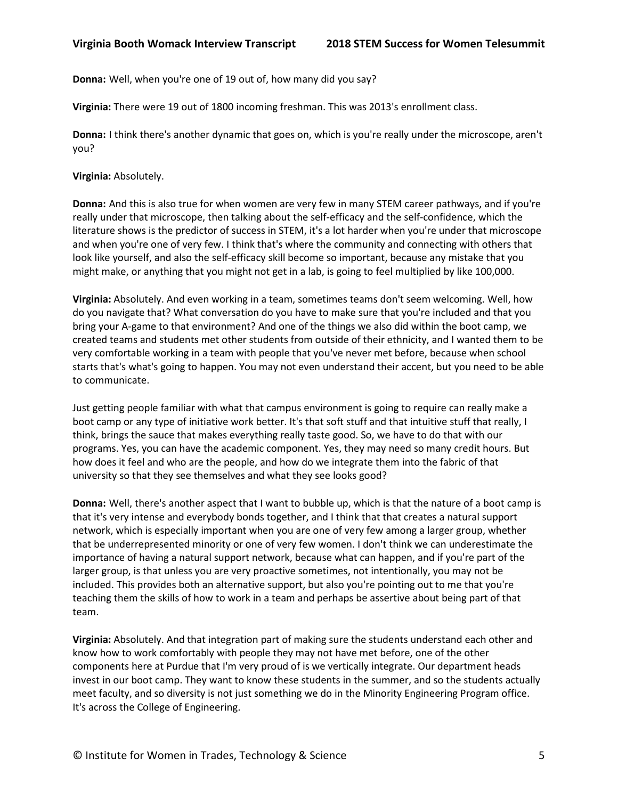**Donna:** Well, when you're one of 19 out of, how many did you say?

**Virginia:** There were 19 out of 1800 incoming freshman. This was 2013's enrollment class.

**Donna:** I think there's another dynamic that goes on, which is you're really under the microscope, aren't you?

**Virginia:** Absolutely.

**Donna:** And this is also true for when women are very few in many STEM career pathways, and if you're really under that microscope, then talking about the self-efficacy and the self-confidence, which the literature shows is the predictor of success in STEM, it's a lot harder when you're under that microscope and when you're one of very few. I think that's where the community and connecting with others that look like yourself, and also the self-efficacy skill become so important, because any mistake that you might make, or anything that you might not get in a lab, is going to feel multiplied by like 100,000.

**Virginia:** Absolutely. And even working in a team, sometimes teams don't seem welcoming. Well, how do you navigate that? What conversation do you have to make sure that you're included and that you bring your A-game to that environment? And one of the things we also did within the boot camp, we created teams and students met other students from outside of their ethnicity, and I wanted them to be very comfortable working in a team with people that you've never met before, because when school starts that's what's going to happen. You may not even understand their accent, but you need to be able to communicate.

Just getting people familiar with what that campus environment is going to require can really make a boot camp or any type of initiative work better. It's that soft stuff and that intuitive stuff that really, I think, brings the sauce that makes everything really taste good. So, we have to do that with our programs. Yes, you can have the academic component. Yes, they may need so many credit hours. But how does it feel and who are the people, and how do we integrate them into the fabric of that university so that they see themselves and what they see looks good?

**Donna:** Well, there's another aspect that I want to bubble up, which is that the nature of a boot camp is that it's very intense and everybody bonds together, and I think that that creates a natural support network, which is especially important when you are one of very few among a larger group, whether that be underrepresented minority or one of very few women. I don't think we can underestimate the importance of having a natural support network, because what can happen, and if you're part of the larger group, is that unless you are very proactive sometimes, not intentionally, you may not be included. This provides both an alternative support, but also you're pointing out to me that you're teaching them the skills of how to work in a team and perhaps be assertive about being part of that team.

**Virginia:** Absolutely. And that integration part of making sure the students understand each other and know how to work comfortably with people they may not have met before, one of the other components here at Purdue that I'm very proud of is we vertically integrate. Our department heads invest in our boot camp. They want to know these students in the summer, and so the students actually meet faculty, and so diversity is not just something we do in the Minority Engineering Program office. It's across the College of Engineering.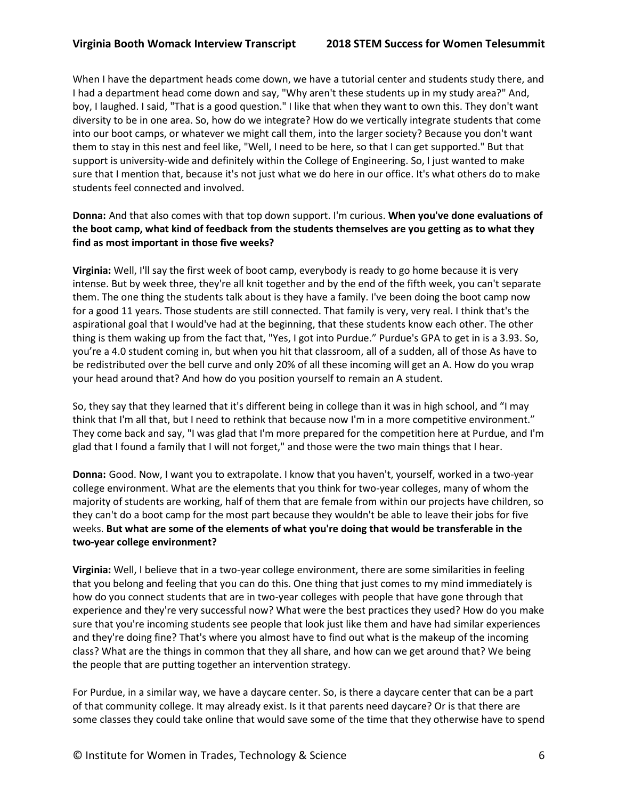When I have the department heads come down, we have a tutorial center and students study there, and I had a department head come down and say, "Why aren't these students up in my study area?" And, boy, I laughed. I said, "That is a good question." I like that when they want to own this. They don't want diversity to be in one area. So, how do we integrate? How do we vertically integrate students that come into our boot camps, or whatever we might call them, into the larger society? Because you don't want them to stay in this nest and feel like, "Well, I need to be here, so that I can get supported." But that support is university-wide and definitely within the College of Engineering. So, I just wanted to make sure that I mention that, because it's not just what we do here in our office. It's what others do to make students feel connected and involved.

## **Donna:** And that also comes with that top down support. I'm curious. **When you've done evaluations of the boot camp, what kind of feedback from the students themselves are you getting as to what they find as most important in those five weeks?**

**Virginia:** Well, I'll say the first week of boot camp, everybody is ready to go home because it is very intense. But by week three, they're all knit together and by the end of the fifth week, you can't separate them. The one thing the students talk about is they have a family. I've been doing the boot camp now for a good 11 years. Those students are still connected. That family is very, very real. I think that's the aspirational goal that I would've had at the beginning, that these students know each other. The other thing is them waking up from the fact that, "Yes, I got into Purdue." Purdue's GPA to get in is a 3.93. So, you're a 4.0 student coming in, but when you hit that classroom, all of a sudden, all of those As have to be redistributed over the bell curve and only 20% of all these incoming will get an A. How do you wrap your head around that? And how do you position yourself to remain an A student.

So, they say that they learned that it's different being in college than it was in high school, and "I may think that I'm all that, but I need to rethink that because now I'm in a more competitive environment." They come back and say, "I was glad that I'm more prepared for the competition here at Purdue, and I'm glad that I found a family that I will not forget," and those were the two main things that I hear.

**Donna:** Good. Now, I want you to extrapolate. I know that you haven't, yourself, worked in a two-year college environment. What are the elements that you think for two-year colleges, many of whom the majority of students are working, half of them that are female from within our projects have children, so they can't do a boot camp for the most part because they wouldn't be able to leave their jobs for five weeks. **But what are some of the elements of what you're doing that would be transferable in the two-year college environment?**

**Virginia:** Well, I believe that in a two-year college environment, there are some similarities in feeling that you belong and feeling that you can do this. One thing that just comes to my mind immediately is how do you connect students that are in two-year colleges with people that have gone through that experience and they're very successful now? What were the best practices they used? How do you make sure that you're incoming students see people that look just like them and have had similar experiences and they're doing fine? That's where you almost have to find out what is the makeup of the incoming class? What are the things in common that they all share, and how can we get around that? We being the people that are putting together an intervention strategy.

For Purdue, in a similar way, we have a daycare center. So, is there a daycare center that can be a part of that community college. It may already exist. Is it that parents need daycare? Or is that there are some classes they could take online that would save some of the time that they otherwise have to spend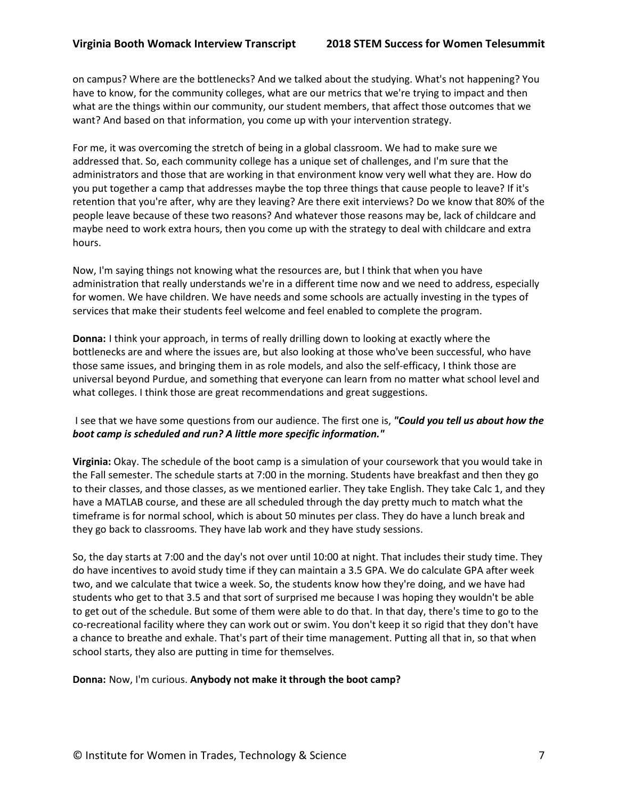on campus? Where are the bottlenecks? And we talked about the studying. What's not happening? You have to know, for the community colleges, what are our metrics that we're trying to impact and then what are the things within our community, our student members, that affect those outcomes that we want? And based on that information, you come up with your intervention strategy.

For me, it was overcoming the stretch of being in a global classroom. We had to make sure we addressed that. So, each community college has a unique set of challenges, and I'm sure that the administrators and those that are working in that environment know very well what they are. How do you put together a camp that addresses maybe the top three things that cause people to leave? If it's retention that you're after, why are they leaving? Are there exit interviews? Do we know that 80% of the people leave because of these two reasons? And whatever those reasons may be, lack of childcare and maybe need to work extra hours, then you come up with the strategy to deal with childcare and extra hours.

Now, I'm saying things not knowing what the resources are, but I think that when you have administration that really understands we're in a different time now and we need to address, especially for women. We have children. We have needs and some schools are actually investing in the types of services that make their students feel welcome and feel enabled to complete the program.

**Donna:** I think your approach, in terms of really drilling down to looking at exactly where the bottlenecks are and where the issues are, but also looking at those who've been successful, who have those same issues, and bringing them in as role models, and also the self-efficacy, I think those are universal beyond Purdue, and something that everyone can learn from no matter what school level and what colleges. I think those are great recommendations and great suggestions.

I see that we have some questions from our audience. The first one is, *"Could you tell us about how the boot camp is scheduled and run? A little more specific information."*

**Virginia:** Okay. The schedule of the boot camp is a simulation of your coursework that you would take in the Fall semester. The schedule starts at 7:00 in the morning. Students have breakfast and then they go to their classes, and those classes, as we mentioned earlier. They take English. They take Calc 1, and they have a MATLAB course, and these are all scheduled through the day pretty much to match what the timeframe is for normal school, which is about 50 minutes per class. They do have a lunch break and they go back to classrooms. They have lab work and they have study sessions.

So, the day starts at 7:00 and the day's not over until 10:00 at night. That includes their study time. They do have incentives to avoid study time if they can maintain a 3.5 GPA. We do calculate GPA after week two, and we calculate that twice a week. So, the students know how they're doing, and we have had students who get to that 3.5 and that sort of surprised me because I was hoping they wouldn't be able to get out of the schedule. But some of them were able to do that. In that day, there's time to go to the co-recreational facility where they can work out or swim. You don't keep it so rigid that they don't have a chance to breathe and exhale. That's part of their time management. Putting all that in, so that when school starts, they also are putting in time for themselves.

#### **Donna:** Now, I'm curious. **Anybody not make it through the boot camp?**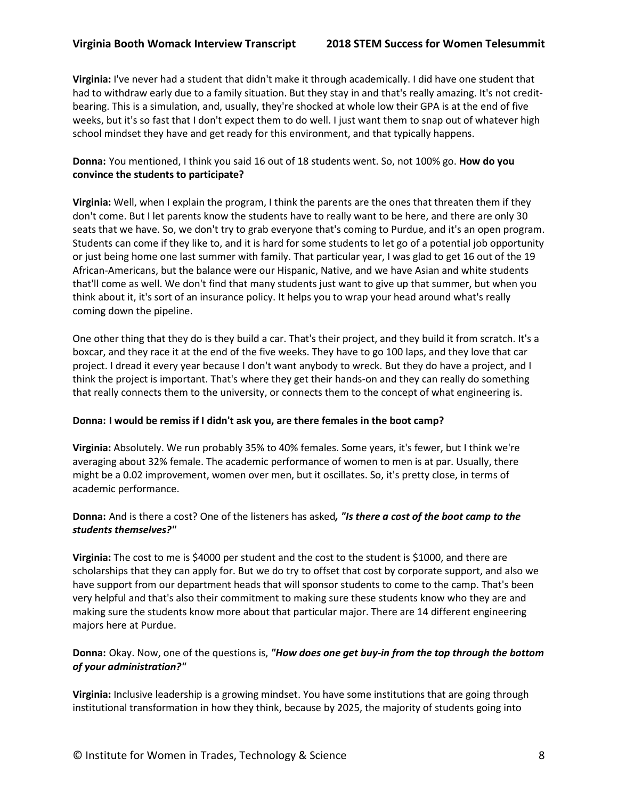**Virginia:** I've never had a student that didn't make it through academically. I did have one student that had to withdraw early due to a family situation. But they stay in and that's really amazing. It's not creditbearing. This is a simulation, and, usually, they're shocked at whole low their GPA is at the end of five weeks, but it's so fast that I don't expect them to do well. I just want them to snap out of whatever high school mindset they have and get ready for this environment, and that typically happens.

# **Donna:** You mentioned, I think you said 16 out of 18 students went. So, not 100% go. **How do you convince the students to participate?**

**Virginia:** Well, when I explain the program, I think the parents are the ones that threaten them if they don't come. But I let parents know the students have to really want to be here, and there are only 30 seats that we have. So, we don't try to grab everyone that's coming to Purdue, and it's an open program. Students can come if they like to, and it is hard for some students to let go of a potential job opportunity or just being home one last summer with family. That particular year, I was glad to get 16 out of the 19 African-Americans, but the balance were our Hispanic, Native, and we have Asian and white students that'll come as well. We don't find that many students just want to give up that summer, but when you think about it, it's sort of an insurance policy. It helps you to wrap your head around what's really coming down the pipeline.

One other thing that they do is they build a car. That's their project, and they build it from scratch. It's a boxcar, and they race it at the end of the five weeks. They have to go 100 laps, and they love that car project. I dread it every year because I don't want anybody to wreck. But they do have a project, and I think the project is important. That's where they get their hands-on and they can really do something that really connects them to the university, or connects them to the concept of what engineering is.

## **Donna: I would be remiss if I didn't ask you, are there females in the boot camp?**

**Virginia:** Absolutely. We run probably 35% to 40% females. Some years, it's fewer, but I think we're averaging about 32% female. The academic performance of women to men is at par. Usually, there might be a 0.02 improvement, women over men, but it oscillates. So, it's pretty close, in terms of academic performance.

# **Donna:** And is there a cost? One of the listeners has asked*, "Is there a cost of the boot camp to the students themselves?"*

**Virginia:** The cost to me is \$4000 per student and the cost to the student is \$1000, and there are scholarships that they can apply for. But we do try to offset that cost by corporate support, and also we have support from our department heads that will sponsor students to come to the camp. That's been very helpful and that's also their commitment to making sure these students know who they are and making sure the students know more about that particular major. There are 14 different engineering majors here at Purdue.

# **Donna:** Okay. Now, one of the questions is, *"How does one get buy-in from the top through the bottom of your administration?"*

**Virginia:** Inclusive leadership is a growing mindset. You have some institutions that are going through institutional transformation in how they think, because by 2025, the majority of students going into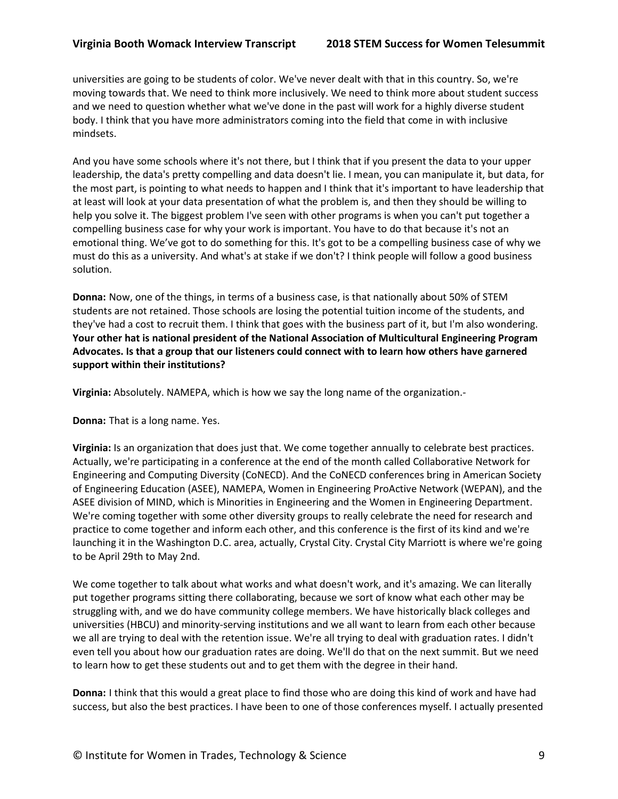universities are going to be students of color. We've never dealt with that in this country. So, we're moving towards that. We need to think more inclusively. We need to think more about student success and we need to question whether what we've done in the past will work for a highly diverse student body. I think that you have more administrators coming into the field that come in with inclusive mindsets.

And you have some schools where it's not there, but I think that if you present the data to your upper leadership, the data's pretty compelling and data doesn't lie. I mean, you can manipulate it, but data, for the most part, is pointing to what needs to happen and I think that it's important to have leadership that at least will look at your data presentation of what the problem is, and then they should be willing to help you solve it. The biggest problem I've seen with other programs is when you can't put together a compelling business case for why your work is important. You have to do that because it's not an emotional thing. We've got to do something for this. It's got to be a compelling business case of why we must do this as a university. And what's at stake if we don't? I think people will follow a good business solution.

**Donna:** Now, one of the things, in terms of a business case, is that nationally about 50% of STEM students are not retained. Those schools are losing the potential tuition income of the students, and they've had a cost to recruit them. I think that goes with the business part of it, but I'm also wondering. **Your other hat is national president of the National Association of Multicultural Engineering Program Advocates. Is that a group that our listeners could connect with to learn how others have garnered support within their institutions?**

**Virginia:** Absolutely. NAMEPA, which is how we say the long name of the organization.-

**Donna:** That is a long name. Yes.

**Virginia:** Is an organization that does just that. We come together annually to celebrate best practices. Actually, we're participating in a conference at the end of the month called Collaborative Network for Engineering and Computing Diversity (CoNECD). And the CoNECD conferences bring in American Society of Engineering Education (ASEE), NAMEPA, Women in Engineering ProActive Network (WEPAN), and the ASEE division of MIND, which is Minorities in Engineering and the Women in Engineering Department. We're coming together with some other diversity groups to really celebrate the need for research and practice to come together and inform each other, and this conference is the first of its kind and we're launching it in the Washington D.C. area, actually, Crystal City. Crystal City Marriott is where we're going to be April 29th to May 2nd.

We come together to talk about what works and what doesn't work, and it's amazing. We can literally put together programs sitting there collaborating, because we sort of know what each other may be struggling with, and we do have community college members. We have historically black colleges and universities (HBCU) and minority-serving institutions and we all want to learn from each other because we all are trying to deal with the retention issue. We're all trying to deal with graduation rates. I didn't even tell you about how our graduation rates are doing. We'll do that on the next summit. But we need to learn how to get these students out and to get them with the degree in their hand.

**Donna:** I think that this would a great place to find those who are doing this kind of work and have had success, but also the best practices. I have been to one of those conferences myself. I actually presented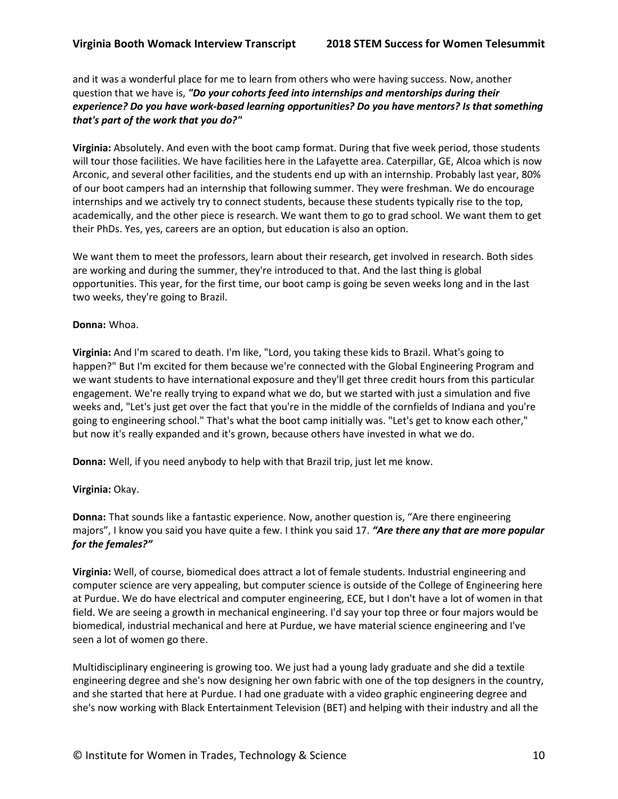and it was a wonderful place for me to learn from others who were having success. Now, another question that we have is, *"Do your cohorts feed into internships and mentorships during their experience? Do you have work-based learning opportunities? Do you have mentors? Is that something that's part of the work that you do?"*

**Virginia:** Absolutely. And even with the boot camp format. During that five week period, those students will tour those facilities. We have facilities here in the Lafayette area. Caterpillar, GE, Alcoa which is now Arconic, and several other facilities, and the students end up with an internship. Probably last year, 80% of our boot campers had an internship that following summer. They were freshman. We do encourage internships and we actively try to connect students, because these students typically rise to the top, academically, and the other piece is research. We want them to go to grad school. We want them to get their PhDs. Yes, yes, careers are an option, but education is also an option.

We want them to meet the professors, learn about their research, get involved in research. Both sides are working and during the summer, they're introduced to that. And the last thing is global opportunities. This year, for the first time, our boot camp is going be seven weeks long and in the last two weeks, they're going to Brazil.

#### **Donna:** Whoa.

**Virginia:** And I'm scared to death. I'm like, "Lord, you taking these kids to Brazil. What's going to happen?" But I'm excited for them because we're connected with the Global Engineering Program and we want students to have international exposure and they'll get three credit hours from this particular engagement. We're really trying to expand what we do, but we started with just a simulation and five weeks and, "Let's just get over the fact that you're in the middle of the cornfields of Indiana and you're going to engineering school." That's what the boot camp initially was. "Let's get to know each other," but now it's really expanded and it's grown, because others have invested in what we do.

**Donna:** Well, if you need anybody to help with that Brazil trip, just let me know.

## **Virginia:** Okay.

**Donna:** That sounds like a fantastic experience. Now, another question is, "Are there engineering majors", I know you said you have quite a few. I think you said 17. *"Are there any that are more popular for the females?"*

**Virginia:** Well, of course, biomedical does attract a lot of female students. Industrial engineering and computer science are very appealing, but computer science is outside of the College of Engineering here at Purdue. We do have electrical and computer engineering, ECE, but I don't have a lot of women in that field. We are seeing a growth in mechanical engineering. I'd say your top three or four majors would be biomedical, industrial mechanical and here at Purdue, we have material science engineering and I've seen a lot of women go there.

Multidisciplinary engineering is growing too. We just had a young lady graduate and she did a textile engineering degree and she's now designing her own fabric with one of the top designers in the country, and she started that here at Purdue. I had one graduate with a video graphic engineering degree and she's now working with Black Entertainment Television (BET) and helping with their industry and all the